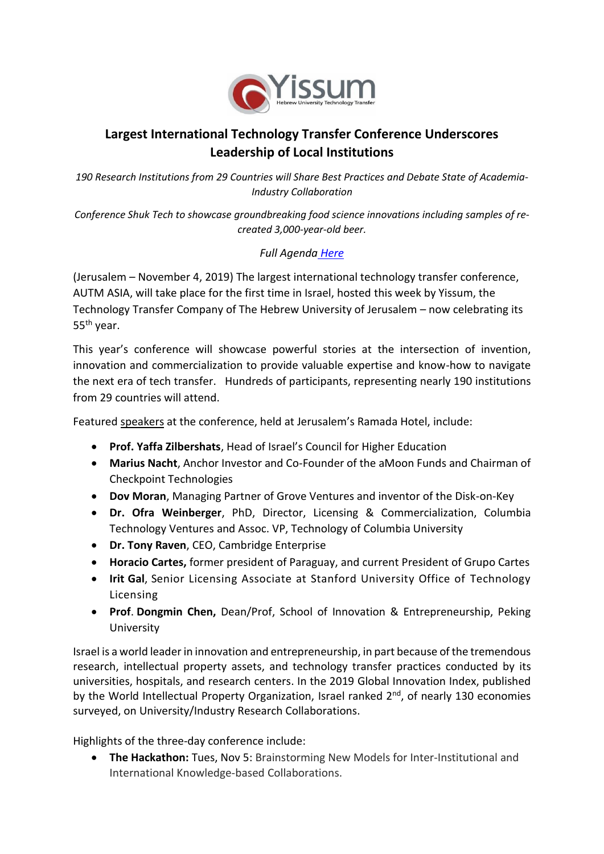

## **Largest International Technology Transfer Conference Underscores Leadership of Local Institutions**

*190 Research Institutions from 29 Countries will Share Best Practices and Debate State of Academia-Industry Collaboration*

*Conference Shuk Tech to showcase groundbreaking food science innovations including samples of recreated 3,000-year-old beer.*

## *Full Agenda [Here](https://autmasia.com/agenda/)*

(Jerusalem – November 4, 2019) The largest international technology transfer conference, AUTM ASIA, will take place for the first time in Israel, hosted this week by Yissum, the Technology Transfer Company of The Hebrew University of Jerusalem – now celebrating its 55th year.

This year's conference will showcase powerful stories at the intersection of invention, innovation and commercialization to provide valuable expertise and know-how to navigate the next era of tech transfer. Hundreds of participants, representing nearly 190 institutions from 29 countries will attend.

Featured [speakers](https://autmasia.com/speakers/) at the conference, held at Jerusalem's Ramada Hotel, include:

- **Prof. Yaffa Zilbershats**, Head of Israel's Council for Higher Education
- **Marius Nacht**, Anchor Investor and Co-Founder of the aMoon Funds and Chairman of Checkpoint Technologies
- **Dov Moran**, Managing Partner of Grove Ventures and inventor of the Disk-on-Key
- **Dr. Ofra Weinberger**, PhD, Director, Licensing & Commercialization, Columbia Technology Ventures and Assoc. VP, Technology of Columbia University
- **Dr. Tony Raven**, CEO, Cambridge Enterprise
- **Horacio Cartes,** former president of Paraguay, and current President of Grupo Cartes
- **Irit Gal**, Senior Licensing Associate at Stanford University Office of Technology Licensing
- **Prof**. **Dongmin Chen,** Dean/Prof, School of Innovation & Entrepreneurship, Peking University

Israel is a world leader in innovation and entrepreneurship, in part because of the tremendous research, intellectual property assets, and technology transfer practices conducted by its universities, hospitals, and research centers. In the 2019 Global Innovation Index, published by the World Intellectual Property Organization, Israel ranked 2<sup>nd</sup>, of nearly 130 economies surveyed, on University/Industry Research Collaborations.

Highlights of the three-day conference include:

• **The Hackathon:** Tues, Nov 5: Brainstorming New Models for Inter-Institutional and International Knowledge-based Collaborations.